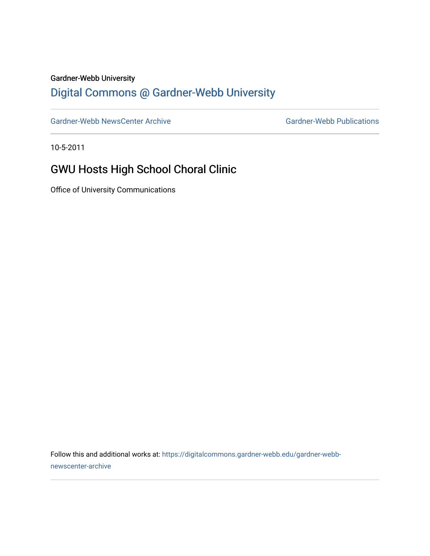#### Gardner-Webb University

## [Digital Commons @ Gardner-Webb University](https://digitalcommons.gardner-webb.edu/)

[Gardner-Webb NewsCenter Archive](https://digitalcommons.gardner-webb.edu/gardner-webb-newscenter-archive) Gardner-Webb Publications

10-5-2011

## GWU Hosts High School Choral Clinic

Office of University Communications

Follow this and additional works at: [https://digitalcommons.gardner-webb.edu/gardner-webb](https://digitalcommons.gardner-webb.edu/gardner-webb-newscenter-archive?utm_source=digitalcommons.gardner-webb.edu%2Fgardner-webb-newscenter-archive%2F1999&utm_medium=PDF&utm_campaign=PDFCoverPages)[newscenter-archive](https://digitalcommons.gardner-webb.edu/gardner-webb-newscenter-archive?utm_source=digitalcommons.gardner-webb.edu%2Fgardner-webb-newscenter-archive%2F1999&utm_medium=PDF&utm_campaign=PDFCoverPages)